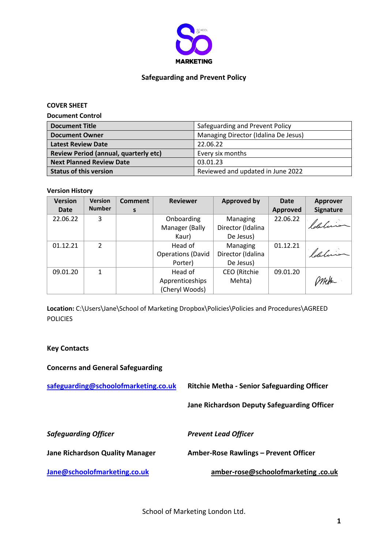

#### **Safeguarding and Prevent Policy**

**COVER SHEET**

**Document Control**

| <b>Document Title</b>                        | Safeguarding and Prevent Policy      |
|----------------------------------------------|--------------------------------------|
| <b>Document Owner</b>                        | Managing Director (Idalina De Jesus) |
| <b>Latest Review Date</b>                    | 22.06.22                             |
| <b>Review Period (annual, quarterly etc)</b> | Every six months                     |
| <b>Next Planned Review Date</b>              | 03.01.23                             |
| <b>Status of this version</b>                | Reviewed and updated in June 2022    |

#### **Version History**

| <b>Version</b> | <b>Version</b> | <b>Comment</b> | <b>Reviewer</b>          | <b>Approved by</b> | <b>Date</b>     | <b>Approver</b>  |
|----------------|----------------|----------------|--------------------------|--------------------|-----------------|------------------|
| <b>Date</b>    | <b>Number</b>  | S              |                          |                    | <b>Approved</b> | <b>Signature</b> |
| 22.06.22       | 3              |                | Onboarding               | Managing           | 22.06.22        |                  |
|                |                |                | Manager (Bally           | Director (Idalina  |                 | ldeluis          |
|                |                |                | Kaur)                    | De Jesus)          |                 |                  |
| 01.12.21       | $\mathfrak{p}$ |                | Head of                  | Managing           | 01.12.21        |                  |
|                |                |                | <b>Operations (David</b> | Director (Idalina  |                 | ldaluis          |
|                |                |                | Porter)                  | De Jesus)          |                 |                  |
| 09.01.20       | 1              |                | Head of                  | CEO (Ritchie       | 09.01.20        |                  |
|                |                |                | Apprenticeships          | Mehta)             |                 |                  |
|                |                |                | (Cheryl Woods)           |                    |                 |                  |

Location: C:\Users\Jane\School of Marketing Dropbox\Policies\Policies and Procedures\AGREED **POLICIES** 

#### **Key Contacts**

**Concerns and General Safeguarding**

**[safeguarding@schoolofmarketing.co.uk](mailto:safeguarding@schoolofmarketing.co.uk) Ritchie Metha - Senior Safeguarding Officer Jane Richardson Deputy Safeguarding Officer** *Safeguarding Officer Prevent Lead Officer*

**Jane Richardson Quality Manager Amber-Rose Rawlings – Prevent Officer**

**[Jane@schoolofmarketing.co.uk](mailto:Jane@schoolofmarketing.co.uk) amber-rose@schoolofmarketing .co.uk**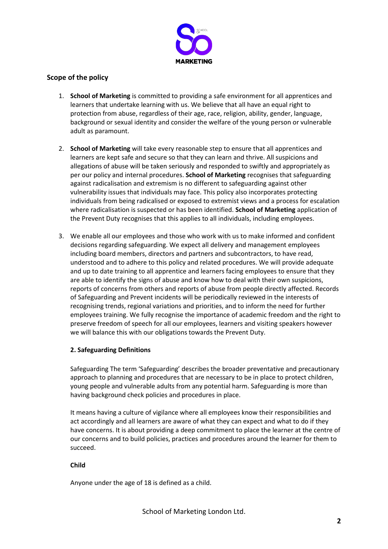

# **Scope of the policy**

- 1. **School of Marketing** is committed to providing a safe environment for all apprentices and learners that undertake learning with us. We believe that all have an equal right to protection from abuse, regardless of their age, race, religion, ability, gender, language, background or sexual identity and consider the welfare of the young person or vulnerable adult as paramount.
- 2. **School of Marketing** will take every reasonable step to ensure that all apprentices and learners are kept safe and secure so that they can learn and thrive. All suspicions and allegations of abuse will be taken seriously and responded to swiftly and appropriately as per our policy and internal procedures. **School of Marketing** recognises that safeguarding against radicalisation and extremism is no different to safeguarding against other vulnerability issues that individuals may face. This policy also incorporates protecting individuals from being radicalised or exposed to extremist views and a process for escalation where radicalisation is suspected or has been identified. **School of Marketing** application of the Prevent Duty recognises that this applies to all individuals, including employees.
- 3. We enable all our employees and those who work with us to make informed and confident decisions regarding safeguarding. We expect all delivery and management employees including board members, directors and partners and subcontractors, to have read, understood and to adhere to this policy and related procedures. We will provide adequate and up to date training to all apprentice and learners facing employees to ensure that they are able to identify the signs of abuse and know how to deal with their own suspicions, reports of concerns from others and reports of abuse from people directly affected. Records of Safeguarding and Prevent incidents will be periodically reviewed in the interests of recognising trends, regional variations and priorities, and to inform the need for further employees training. We fully recognise the importance of academic freedom and the right to preserve freedom of speech for all our employees, learners and visiting speakers however we will balance this with our obligations towards the Prevent Duty.

# **2. Safeguarding Definitions**

Safeguarding The term 'Safeguarding' describes the broader preventative and precautionary approach to planning and procedures that are necessary to be in place to protect children, young people and vulnerable adults from any potential harm. Safeguarding is more than having background check policies and procedures in place.

It means having a culture of vigilance where all employees know their responsibilities and act accordingly and all learners are aware of what they can expect and what to do if they have concerns. It is about providing a deep commitment to place the learner at the centre of our concerns and to build policies, practices and procedures around the learner for them to succeed.

# **Child**

Anyone under the age of 18 is defined as a child.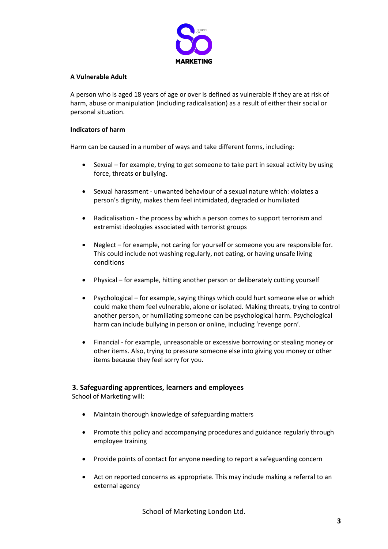

#### **A Vulnerable Adult**

A person who is aged 18 years of age or over is defined as vulnerable if they are at risk of harm, abuse or manipulation (including radicalisation) as a result of either their social or personal situation.

#### **Indicators of harm**

Harm can be caused in a number of ways and take different forms, including:

- Sexual for example, trying to get someone to take part in sexual activity by using force, threats or bullying.
- x Sexual harassment unwanted behaviour of a sexual nature which: violates a person's dignity, makes them feel intimidated, degraded or humiliated
- Radicalisation the process by which a person comes to support terrorism and extremist ideologies associated with terrorist groups
- Neglect for example, not caring for yourself or someone you are responsible for. This could include not washing regularly, not eating, or having unsafe living conditions
- Physical for example, hitting another person or deliberately cutting yourself
- Psychological for example, saying things which could hurt someone else or which could make them feel vulnerable, alone or isolated. Making threats, trying to control another person, or humiliating someone can be psychological harm. Psychological harm can include bullying in person or online, including 'revenge porn'.
- Financial for example, unreasonable or excessive borrowing or stealing money or other items. Also, trying to pressure someone else into giving you money or other items because they feel sorry for you.

# **3. Safeguarding apprentices, learners and employees**

School of Marketing will:

- Maintain thorough knowledge of safeguarding matters
- Promote this policy and accompanying procedures and guidance regularly through employee training
- Provide points of contact for anyone needing to report a safeguarding concern
- Act on reported concerns as appropriate. This may include making a referral to an external agency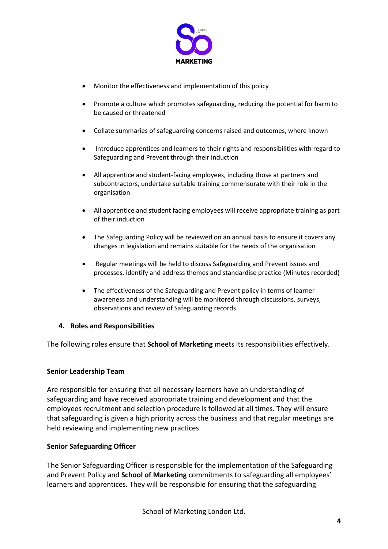

- Monitor the effectiveness and implementation of this policy
- Promote a culture which promotes safeguarding, reducing the potential for harm to be caused or threatened
- Collate summaries of safeguarding concerns raised and outcomes, where known
- Introduce apprentices and learners to their rights and responsibilities with regard to Safeguarding and Prevent through their induction
- All apprentice and student-facing employees, including those at partners and subcontractors, undertake suitable training commensurate with their role in the organisation
- x All apprentice and student facing employees will receive appropriate training as part of their induction
- The Safeguarding Policy will be reviewed on an annual basis to ensure it covers any changes in legislation and remains suitable for the needs of the organisation
- Regular meetings will be held to discuss Safeguarding and Prevent issues and processes, identify and address themes and standardise practice (Minutes recorded)
- The effectiveness of the Safeguarding and Prevent policy in terms of learner awareness and understanding will be monitored through discussions, surveys, observations and review of Safeguarding records.

# **4. Roles and Responsibilities**

The following roles ensure that **School of Marketing** meets its responsibilities effectively.

# **Senior Leadership Team**

Are responsible for ensuring that all necessary learners have an understanding of safeguarding and have received appropriate training and development and that the employees recruitment and selection procedure is followed at all times. They will ensure that safeguarding is given a high priority across the business and that regular meetings are held reviewing and implementing new practices.

# **Senior Safeguarding Officer**

The Senior Safeguarding Officer is responsible for the implementation of the Safeguarding and Prevent Policy and **School of Marketing** commitments to safeguarding all employees' learners and apprentices. They will be responsible for ensuring that the safeguarding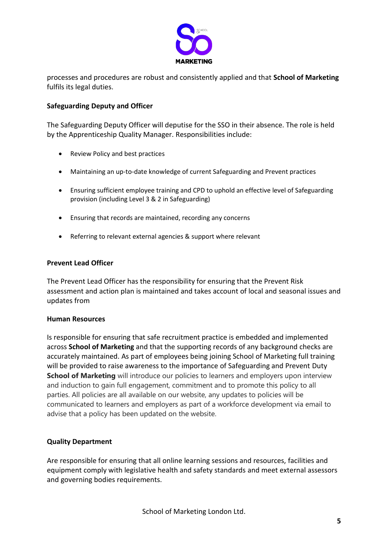

processes and procedures are robust and consistently applied and that **School of Marketing** fulfils its legal duties.

# **Safeguarding Deputy and Officer**

The Safeguarding Deputy Officer will deputise for the SSO in their absence. The role is held by the Apprenticeship Quality Manager. Responsibilities include:

- Review Policy and best practices
- Maintaining an up-to-date knowledge of current Safeguarding and Prevent practices
- Ensuring sufficient employee training and CPD to uphold an effective level of Safeguarding provision (including Level 3 & 2 in Safeguarding)
- Ensuring that records are maintained, recording any concerns
- Referring to relevant external agencies & support where relevant

# **Prevent Lead Officer**

The Prevent Lead Officer has the responsibility for ensuring that the Prevent Risk assessment and action plan is maintained and takes account of local and seasonal issues and updates from

# **Human Resources**

Is responsible for ensuring that safe recruitment practice is embedded and implemented across **School of Marketing** and that the supporting records of any background checks are accurately maintained. As part of employees being joining School of Marketing full training will be provided to raise awareness to the importance of Safeguarding and Prevent Duty **School of Marketing** will introduce our policies to learners and employers upon interview and induction to gain full engagement, commitment and to promote this policy to all parties. All policies are all available on our website, any updates to policies will be communicated to learners and employers as part of a workforce development via email to advise that a policy has been updated on the website.

# **Quality Department**

Are responsible for ensuring that all online learning sessions and resources, facilities and equipment comply with legislative health and safety standards and meet external assessors and governing bodies requirements.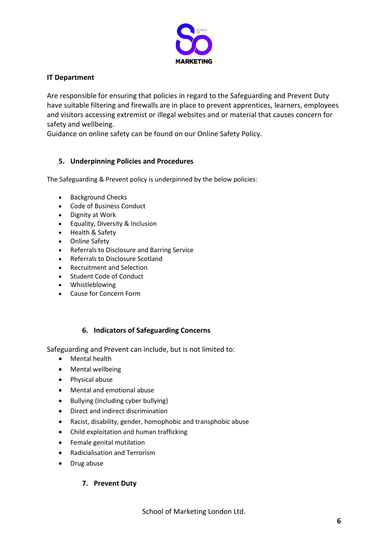

# **IT Department**

Are responsible for ensuring that policies in regard to the Safeguarding and Prevent Duty have suitable filtering and firewalls are in place to prevent apprentices, learners, employees and visitors accessing extremist or illegal websites and or material that causes concern for safety and wellbeing.

Guidance on online safety can be found on our Online Safety Policy.

# **5. Underpinning Policies and Procedures**

The Safeguarding & Prevent policy is underpinned by the below policies:

- Background Checks
- Code of Business Conduct
- Dignity at Work
- **•** Equality, Diversity & Inclusion
- Health & Safety
- **Online Safety**
- Referrals to Disclosure and Barring Service
- Referrals to Disclosure Scotland
- Recruitment and Selection
- Student Code of Conduct
- **Whistleblowing**
- Cause for Concern Form

# **6. Indicators of Safeguarding Concerns**

Safeguarding and Prevent can include, but is not limited to:

- Mental health
- Mental wellbeing
- Physical abuse
- Mental and emotional abuse
- Bullying (Including cyber bullying)
- Direct and indirect discrimination
- Racist, disability, gender, homophobic and transphobic abuse
- Child exploitation and human trafficking
- $\bullet$  Female genital mutilation
- Radicialisation and Terrorism
- Drug abuse

# **7. Prevent Duty**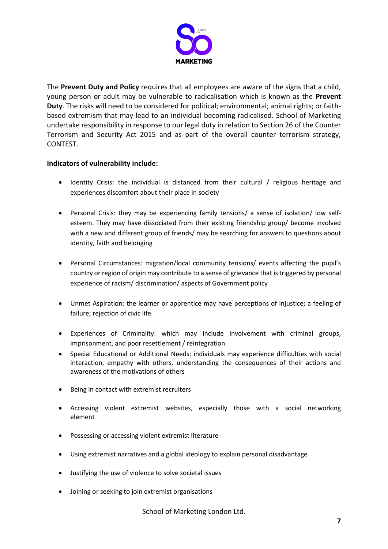

The **Prevent Duty and Policy** requires that all employees are aware of the signs that a child, young person or adult may be vulnerable to radicalisation which is known as the **Prevent Duty**. The risks will need to be considered for political; environmental; animal rights; or faithbased extremism that may lead to an individual becoming radicalised. School of Marketing undertake responsibility in response to our legal duty in relation to Section 26 of the Counter Terrorism and Security Act 2015 and as part of the overall counter terrorism strategy, CONTEST.

# **Indicators of vulnerability include:**

- Identity Crisis: the individual is distanced from their cultural / religious heritage and experiences discomfort about their place in society
- Personal Crisis: they may be experiencing family tensions/ a sense of isolation/ low selfesteem. They may have dissociated from their existing friendship group/ become involved with a new and different group of friends/ may be searching for answers to questions about identity, faith and belonging
- Personal Circumstances: migration/local community tensions/ events affecting the pupil's country or region of origin may contribute to a sense of grievance that is triggered by personal experience of racism/ discrimination/ aspects of Government policy
- Unmet Aspiration: the learner or apprentice may have perceptions of injustice; a feeling of failure; rejection of civic life
- Experiences of Criminality: which may include involvement with criminal groups, imprisonment, and poor resettlement / reintegration
- Special Educational or Additional Needs: individuals may experience difficulties with social interaction, empathy with others, understanding the consequences of their actions and awareness of the motivations of others
- Being in contact with extremist recruiters
- Accessing violent extremist websites, especially those with a social networking element
- Possessing or accessing violent extremist literature
- Using extremist narratives and a global ideology to explain personal disadvantage
- Justifying the use of violence to solve societal issues
- Joining or seeking to join extremist organisations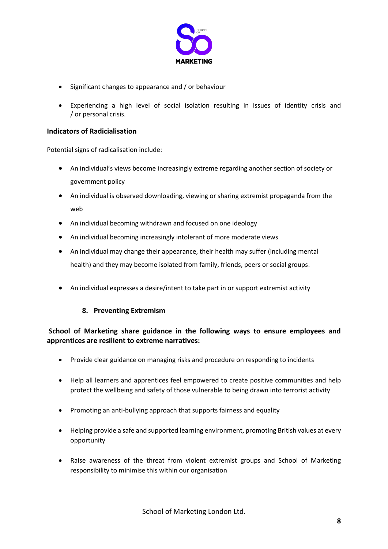

- $\bullet$  Significant changes to appearance and / or behaviour
- Experiencing a high level of social isolation resulting in issues of identity crisis and / or personal crisis.

# **Indicators of Radicialisation**

Potential signs of radicalisation include:

- An individual's views become increasingly extreme regarding another section of society or government policy
- An individual is observed downloading, viewing or sharing extremist propaganda from the web
- An individual becoming withdrawn and focused on one ideology
- An individual becoming increasingly intolerant of more moderate views
- An individual may change their appearance, their health may suffer (including mental health) and they may become isolated from family, friends, peers or social groups.
- An individual expresses a desire/intent to take part in or support extremist activity

# **8. Preventing Extremism**

# **School of Marketing share guidance in the following ways to ensure employees and apprentices are resilient to extreme narratives:**

- Provide clear guidance on managing risks and procedure on responding to incidents
- Help all learners and apprentices feel empowered to create positive communities and help protect the wellbeing and safety of those vulnerable to being drawn into terrorist activity
- Promoting an anti-bullying approach that supports fairness and equality
- Helping provide a safe and supported learning environment, promoting British values at every opportunity
- Raise awareness of the threat from violent extremist groups and School of Marketing responsibility to minimise this within our organisation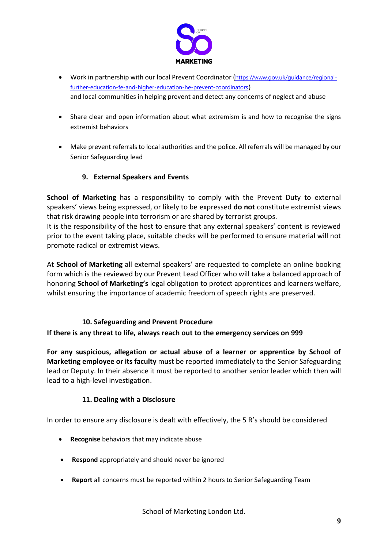

- Work in partnership with our local Prevent Coordinator ([https://www.gov.uk/guidance/regional](https://www.gov.uk/guidance/regional-further-education-fe-and-higher-education-he-prevent-coordinators)[further-education-fe-and-higher-education-he-prevent-coordinators](https://www.gov.uk/guidance/regional-further-education-fe-and-higher-education-he-prevent-coordinators)) and local communities in helping prevent and detect any concerns of neglect and abuse
- Share clear and open information about what extremism is and how to recognise the signs extremist behaviors
- Make prevent referrals to local authorities and the police. All referrals will be managed by our Senior Safeguarding lead

# **9. External Speakers and Events**

**School of Marketing** has a responsibility to comply with the Prevent Duty to external speakers' views being expressed, or likely to be expressed **do not** constitute extremist views that risk drawing people into terrorism or are shared by terrorist groups.

It is the responsibility of the host to ensure that any external speakers' content is reviewed prior to the event taking place, suitable checks will be performed to ensure material will not promote radical or extremist views.

At **School of Marketing** all external speakers' are requested to complete an online booking form which is the reviewed by our Prevent Lead Officer who will take a balanced approach of honoring **School of Marketing's** legal obligation to protect apprentices and learners welfare, whilst ensuring the importance of academic freedom of speech rights are preserved.

# **10. Safeguarding and Prevent Procedure**

# **If there is any threat to life, always reach out to the emergency services on 999**

**For any suspicious, allegation or actual abuse of a learner or apprentice by School of Marketing employee or its faculty** must be reported immediately to the Senior Safeguarding lead or Deputy. In their absence it must be reported to another senior leader which then will lead to a high-level investigation.

# **11. Dealing with a Disclosure**

In order to ensure any disclosure is dealt with effectively, the 5 R's should be considered

- **Recognise** behaviors that may indicate abuse
- **•** Respond appropriately and should never be ignored
- x **Report** all concerns must be reported within 2 hours to Senior Safeguarding Team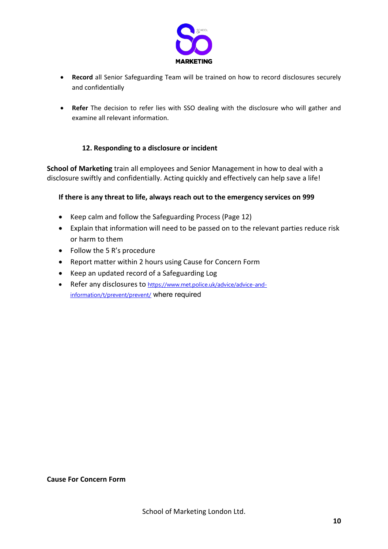

- **Record** all Senior Safeguarding Team will be trained on how to record disclosures securely and confidentially
- **Refer** The decision to refer lies with SSO dealing with the disclosure who will gather and examine all relevant information.

# **12. Responding to a disclosure or incident**

**School of Marketing** train all employees and Senior Management in how to deal with a disclosure swiftly and confidentially. Acting quickly and effectively can help save a life!

# **If there is any threat to life, always reach out to the emergency services on 999**

- Keep calm and follow the Safeguarding Process (Page 12)
- Explain that information will need to be passed on to the relevant parties reduce risk or harm to them
- $\bullet$  Follow the 5 R's procedure
- Report matter within 2 hours using Cause for Concern Form
- Keep an updated record of a Safeguarding Log
- Refer any disclosures to [https://www.met.police.uk/advice/advice-and](https://www.met.police.uk/advice/advice-and-information/t/prevent/prevent/)[information/t/prevent/prevent/](https://www.met.police.uk/advice/advice-and-information/t/prevent/prevent/) where required

# **Cause For Concern Form**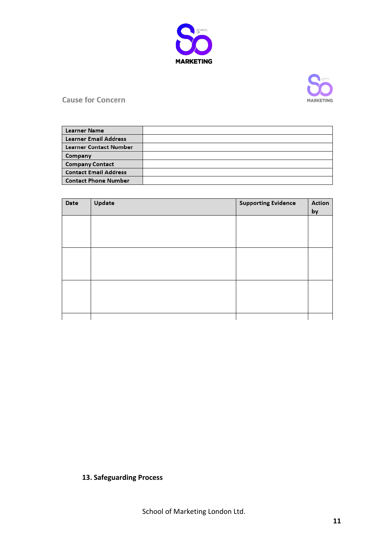



**Cause for Concern** 

| <b>Learner Name</b>          |  |
|------------------------------|--|
| <b>Learner Email Address</b> |  |
| Learner Contact Number       |  |
| Company                      |  |
| <b>Company Contact</b>       |  |
| <b>Contact Email Address</b> |  |
| <b>Contact Phone Number</b>  |  |

| Date | Update | <b>Supporting Evidence</b> | Action<br>by |
|------|--------|----------------------------|--------------|
|      |        |                            |              |
|      |        |                            |              |
|      |        |                            |              |
|      |        |                            |              |
|      |        |                            |              |
|      |        |                            |              |
|      |        |                            |              |

# **13. Safeguarding Process**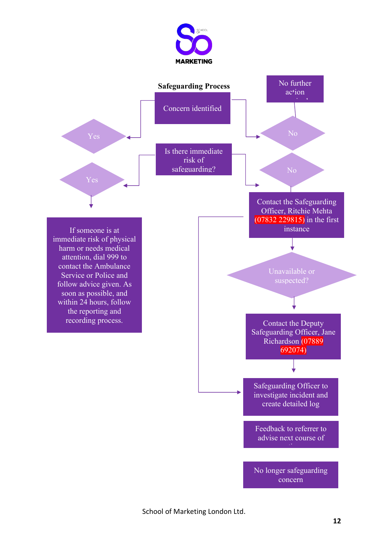

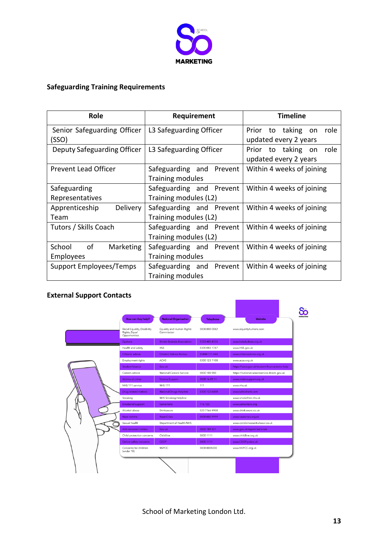

# **Safeguarding Training Requirements**

| Role                        | Requirement              | <b>Timeline</b>               |
|-----------------------------|--------------------------|-------------------------------|
| Senior Safeguarding Officer | L3 Safeguarding Officer  | Prior to<br>taking on<br>role |
| (SSO)                       |                          | updated every 2 years         |
| Deputy Safeguarding Officer | L3 Safeguarding Officer  | role<br>Prior to taking on    |
|                             |                          | updated every 2 years         |
| <b>Prevent Lead Officer</b> | Safeguarding and Prevent | Within 4 weeks of joining     |
|                             | <b>Training modules</b>  |                               |
| Safeguarding                | Safeguarding and Prevent | Within 4 weeks of joining     |
| Representatives             | Training modules (L2)    |                               |
| Delivery<br>Apprenticeship  | Safeguarding and Prevent | Within 4 weeks of joining     |
| Team                        | Training modules (L2)    |                               |
| Tutors / Skills Coach       | Safeguarding and Prevent | Within 4 weeks of joining     |
|                             | Training modules (L2)    |                               |
| of<br>School<br>Marketing   | Safeguarding and Prevent | Within 4 weeks of joining     |
| <b>Employees</b>            | <b>Training modules</b>  |                               |
| Support Employees/Temps     | Safeguarding and Prevent | Within 4 weeks of joining     |
|                             | <b>Training modules</b>  |                               |

# **External Support Contacts**

| Racial Equality, Disability<br>Rights, Equal<br>Opportunities<br><b>Dyslexia</b><br>Health and safety<br>Citizens' advice<br>Employment rights<br><b>Student finance</b><br>Careers advice<br>Victims of crime<br>NHS 111 service | Equality and Human Rights<br>Commission<br><b>British Dyslexia Association</b><br><b>HSE</b><br>Citizens' Advice Bureau<br>ACAS<br>Gov.uk<br>National Careers Service<br><b>Victims Support</b> | 0808 800 0082<br>0333 405 4555<br>0300 003 1747<br>03444 111 444<br>0300 123 1100<br>0800 100 900 | www.equalityhumans.com<br>www.bdadyslexia.org.uk<br>www.HSE.gov.uk<br>www.citizensadvice.org.uk<br>www.acas.org.uk<br>https://nationalcareersservice.direct.gov.uk |
|-----------------------------------------------------------------------------------------------------------------------------------------------------------------------------------------------------------------------------------|-------------------------------------------------------------------------------------------------------------------------------------------------------------------------------------------------|---------------------------------------------------------------------------------------------------|--------------------------------------------------------------------------------------------------------------------------------------------------------------------|
|                                                                                                                                                                                                                                   |                                                                                                                                                                                                 |                                                                                                   |                                                                                                                                                                    |
|                                                                                                                                                                                                                                   |                                                                                                                                                                                                 |                                                                                                   |                                                                                                                                                                    |
|                                                                                                                                                                                                                                   |                                                                                                                                                                                                 |                                                                                                   | https://www.gov.uk/student-finance/extra-help                                                                                                                      |
|                                                                                                                                                                                                                                   |                                                                                                                                                                                                 |                                                                                                   |                                                                                                                                                                    |
|                                                                                                                                                                                                                                   |                                                                                                                                                                                                 |                                                                                                   |                                                                                                                                                                    |
|                                                                                                                                                                                                                                   |                                                                                                                                                                                                 |                                                                                                   |                                                                                                                                                                    |
|                                                                                                                                                                                                                                   |                                                                                                                                                                                                 |                                                                                                   |                                                                                                                                                                    |
|                                                                                                                                                                                                                                   |                                                                                                                                                                                                 | 0808 16 89 11                                                                                     | www.victimsupport.org.uk                                                                                                                                           |
|                                                                                                                                                                                                                                   | <b>NHS 111</b>                                                                                                                                                                                  | 111                                                                                               | www.nhs.uk                                                                                                                                                         |
| Drug related matters                                                                                                                                                                                                              | <b>National Drugs Helpline</b>                                                                                                                                                                  | 0300 123 6600                                                                                     | www.talktofrank.com                                                                                                                                                |
| Smoking                                                                                                                                                                                                                           | NHS Smoking Helpline                                                                                                                                                                            |                                                                                                   | www.smokefree.nhs.uk                                                                                                                                               |
| <b>Emotional support</b>                                                                                                                                                                                                          | <b>Samaritans</b>                                                                                                                                                                               | 116 123                                                                                           | www.samaritans.org                                                                                                                                                 |
| Alcohol abuse                                                                                                                                                                                                                     | Drinkaware                                                                                                                                                                                      | 020 7766 9900                                                                                     | www.drinkaware.co.uk                                                                                                                                               |
| Rape victims                                                                                                                                                                                                                      | <b>Rape Crisis</b>                                                                                                                                                                              | 0808 802 9999                                                                                     | www.rapecrisis.org.uk                                                                                                                                              |
| Sexual health                                                                                                                                                                                                                     | Department of Health/NHS                                                                                                                                                                        |                                                                                                   | www.condomessentialwear.co.uk                                                                                                                                      |
| Anti-terrorism hotline                                                                                                                                                                                                            | Gov.uk                                                                                                                                                                                          | 0800 789 321                                                                                      | www.gov.uk/report-terrorism                                                                                                                                        |
| Child protection concerns                                                                                                                                                                                                         | Childline                                                                                                                                                                                       | 0800 1111                                                                                         | www.childline.org.uk                                                                                                                                               |
| Online safety concerns                                                                                                                                                                                                            | CEOP                                                                                                                                                                                            | 0800 1111                                                                                         | www.CEOP.police.uk                                                                                                                                                 |
| Concerns for children<br>(under 18)                                                                                                                                                                                               | <b>NSPCC</b>                                                                                                                                                                                    | 0808 8005000                                                                                      | www.NSPCC.org.uk                                                                                                                                                   |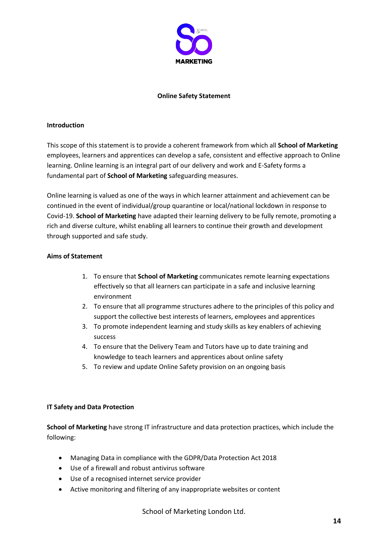

#### **Online Safety Statement**

#### **Introduction**

This scope of this statement is to provide a coherent framework from which all **School of Marketing** employees, learners and apprentices can develop a safe, consistent and effective approach to Online learning. Online learning is an integral part of our delivery and work and E-Safety forms a fundamental part of **School of Marketing** safeguarding measures.

Online learning is valued as one of the ways in which learner attainment and achievement can be continued in the event of individual/group quarantine or local/national lockdown in response to Covid-19. **School of Marketing** have adapted their learning delivery to be fully remote, promoting a rich and diverse culture, whilst enabling all learners to continue their growth and development through supported and safe study.

# **Aims of Statement**

- 1. To ensure that **School of Marketing** communicates remote learning expectations effectively so that all learners can participate in a safe and inclusive learning environment
- 2. To ensure that all programme structures adhere to the principles of this policy and support the collective best interests of learners, employees and apprentices
- 3. To promote independent learning and study skills as key enablers of achieving success
- 4. To ensure that the Delivery Team and Tutors have up to date training and knowledge to teach learners and apprentices about online safety
- 5. To review and update Online Safety provision on an ongoing basis

# **IT Safety and Data Protection**

**School of Marketing** have strong IT infrastructure and data protection practices, which include the following:

- Managing Data in compliance with the GDPR/Data Protection Act 2018
- Use of a firewall and robust antivirus software
- Use of a recognised internet service provider
- Active monitoring and filtering of any inappropriate websites or content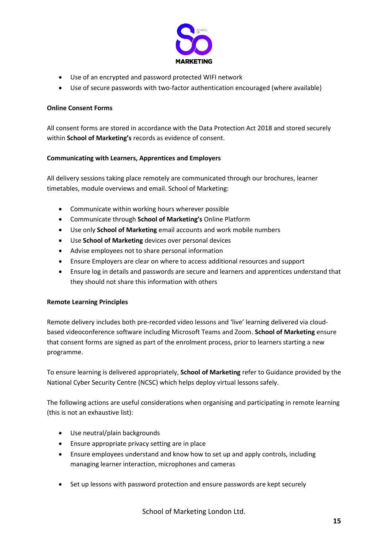

- Use of an encrypted and password protected WIFI network
- Use of secure passwords with two-factor authentication encouraged (where available)

# **Online Consent Forms**

All consent forms are stored in accordance with the Data Protection Act 2018 and stored securely within **School of Marketing's** records as evidence of consent.

# **Communicating with Learners, Apprentices and Employers**

All delivery sessions taking place remotely are communicated through our brochures, learner timetables, module overviews and email. School of Marketing:

- Communicate within working hours wherever possible
- x Communicate through **School of Marketing's** Online Platform
- **•** Use only **School of Marketing** email accounts and work mobile numbers
- **•** Use **School of Marketing** devices over personal devices
- Advise employees not to share personal information
- Ensure Employers are clear on where to access additional resources and support
- Ensure log in details and passwords are secure and learners and apprentices understand that they should not share this information with others

# **Remote Learning Principles**

Remote delivery includes both pre-recorded video lessons and 'live' learning delivered via cloudbased videoconference software including Microsoft Teams and Zoom. **School of Marketing** ensure that consent forms are signed as part of the enrolment process, prior to learners starting a new programme.

To ensure learning is delivered appropriately, **School of Marketing** refer to Guidance provided by the National Cyber Security Centre (NCSC) which helps deploy virtual lessons safely.

The following actions are useful considerations when organising and participating in remote learning (this is not an exhaustive list):

- Use neutral/plain backgrounds
- $\bullet$  Ensure appropriate privacy setting are in place
- Ensure employees understand and know how to set up and apply controls, including managing learner interaction, microphones and cameras
- Set up lessons with password protection and ensure passwords are kept securely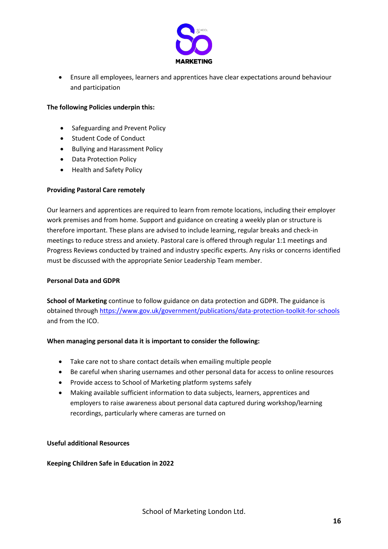

• Ensure all employees, learners and apprentices have clear expectations around behaviour and participation

#### **The following Policies underpin this:**

- Safeguarding and Prevent Policy
- Student Code of Conduct
- Bullying and Harassment Policy
- Data Protection Policy
- Health and Safety Policy

# **Providing Pastoral Care remotely**

Our learners and apprentices are required to learn from remote locations, including their employer work premises and from home. Support and guidance on creating a weekly plan or structure is therefore important. These plans are advised to include learning, regular breaks and check-in meetings to reduce stress and anxiety. Pastoral care is offered through regular 1:1 meetings and Progress Reviews conducted by trained and industry specific experts. Any risks or concerns identified must be discussed with the appropriate Senior Leadership Team member.

#### **Personal Data and GDPR**

**School of Marketing** continue to follow guidance on data protection and GDPR. The guidance is obtained through<https://www.gov.uk/government/publications/data-protection-toolkit-for-schools> and from the ICO.

# **When managing personal data it is important to consider the following:**

- Take care not to share contact details when emailing multiple people
- Be careful when sharing usernames and other personal data for access to online resources
- Provide access to School of Marketing platform systems safely
- Making available sufficient information to data subjects, learners, apprentices and employers to raise awareness about personal data captured during workshop/learning recordings, particularly where cameras are turned on

#### **Useful additional Resources**

# **Keeping Children Safe in Education in 2022**